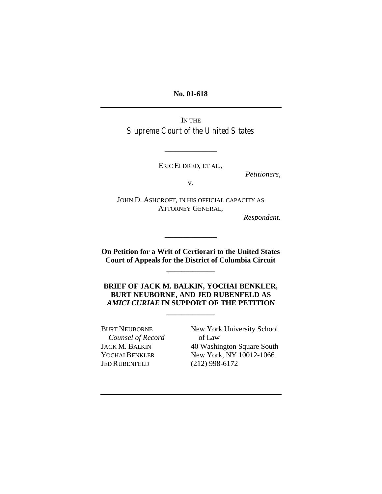**No. 01-618**

IN THE Supreme Court of the United States

ERIC ELDRED, ET AL.,

**\_\_\_\_\_\_\_\_\_\_\_\_\_\_**

*Petitioners*,

v.

JOHN D. ASHCROFT, IN HIS OFFICIAL CAPACITY AS ATTORNEY GENERAL,

*Respondent.*

**On Petition for a Writ of Certiorari to the United States Court of Appeals for the District of Columbia Circuit**

**\_\_\_\_\_\_\_\_\_\_\_\_\_**

**\_\_\_\_\_\_\_\_\_\_\_\_\_\_**

**BRIEF OF JACK M. BALKIN, YOCHAI BENKLER, BURT NEUBORNE, AND JED RUBENFELD AS** *AMICI CURIAE* **IN SUPPORT OF THE PETITION**

**\_\_\_\_\_\_\_\_\_\_\_\_\_**

 *Counsel of Record* of Law JED RUBENFELD (212) 998-6172

BURT NEUBORNE New York University School JACK M. BALKIN 40 Washington Square South YOCHAI BENKLER New York, NY 10012-1066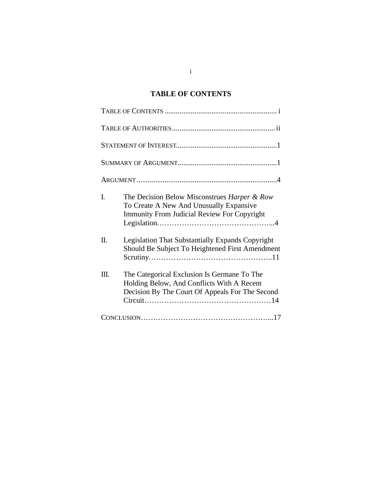# **TABLE OF CONTENTS**

| I. | The Decision Below Misconstrues Harper & Row<br>To Create A New And Unusually Expansive<br><b>Immunity From Judicial Review For Copyright</b> |
|----|-----------------------------------------------------------------------------------------------------------------------------------------------|
| Π. | <b>Legislation That Substantially Expands Copyright</b><br>Should Be Subject To Heightened First Amendment                                    |
| Ш. | The Categorical Exclusion Is Germane To The<br>Holding Below, And Conflicts With A Recent<br>Decision By The Court Of Appeals For The Second  |
|    |                                                                                                                                               |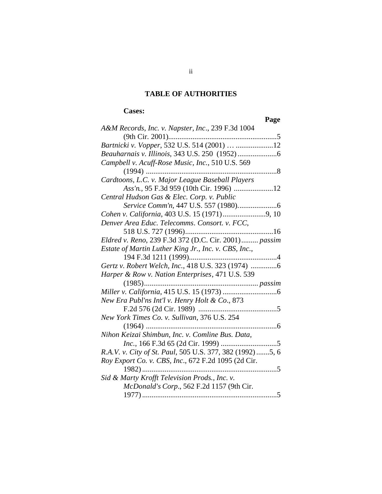## **TABLE OF AUTHORITIES**

## **Cases:**

## **Page**

|                                                           | rage |
|-----------------------------------------------------------|------|
| A&M Records, Inc. v. Napster, Inc., 239 F.3d 1004         |      |
| (9th Cir. 2001)                                           |      |
| Bartnicki v. Vopper, 532 U.S. 514 (2001)  12              |      |
|                                                           |      |
| Campbell v. Acuff-Rose Music, Inc., 510 U.S. 569          |      |
|                                                           |      |
| Cardtoons, L.C. v. Major League Baseball Players          |      |
|                                                           |      |
| Central Hudson Gas & Elec. Corp. v. Public                |      |
|                                                           |      |
|                                                           |      |
| Denver Area Educ. Telecomms. Consort. v. FCC,             |      |
|                                                           |      |
| Eldred v. Reno, 239 F.3d 372 (D.C. Cir. 2001) passim      |      |
| Estate of Martin Luther King Jr., Inc. v. CBS, Inc.,      |      |
|                                                           |      |
| Gertz v. Robert Welch, Inc., 418 U.S. 323 (1974) 6        |      |
| Harper & Row v. Nation Enterprises, 471 U.S. 539          |      |
|                                                           |      |
|                                                           |      |
| New Era Publ'ns Int'l v. Henry Holt & Co., 873            |      |
| F.2d 576 (2d Cir. 1989)                                   |      |
| New York Times Co. v. Sullivan, 376 U.S. 254              |      |
|                                                           |      |
| Nihon Keizai Shimbun, Inc. v. Comline Bus. Data,          |      |
|                                                           |      |
| R.A.V. v. City of St. Paul, 505 U.S. 377, 382 (1992) 5, 6 |      |
| Roy Export Co. v. CBS, Inc., 672 F.2d 1095 (2d Cir.       |      |
| 1982)                                                     | . 5  |
| Sid & Marty Krofft Television Prods., Inc. v.             |      |
| McDonald's Corp., 562 F.2d 1157 (9th Cir.                 |      |
|                                                           | . 5  |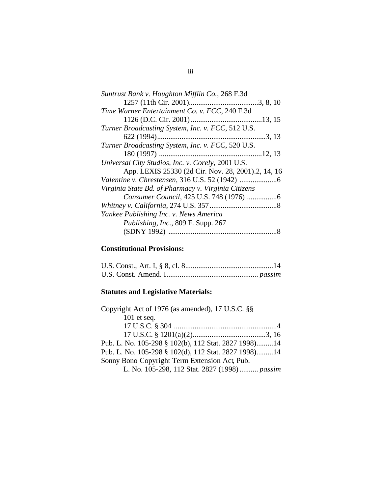| Suntrust Bank v. Houghton Mifflin Co., 268 F.3d     |  |
|-----------------------------------------------------|--|
|                                                     |  |
| Time Warner Entertainment Co. v. FCC, 240 F.3d      |  |
|                                                     |  |
| Turner Broadcasting System, Inc. v. FCC, 512 U.S.   |  |
|                                                     |  |
| Turner Broadcasting System, Inc. v. FCC, 520 U.S.   |  |
|                                                     |  |
| Universal City Studios, Inc. v. Corely, 2001 U.S.   |  |
| App. LEXIS 25330 (2d Cir. Nov. 28, 2001).2, 14, 16  |  |
|                                                     |  |
| Virginia State Bd. of Pharmacy v. Virginia Citizens |  |
|                                                     |  |
|                                                     |  |
| Yankee Publishing Inc. v. News America              |  |
| Publishing, Inc., 809 F. Supp. 267                  |  |
|                                                     |  |
|                                                     |  |

# **Constitutional Provisions:**

## **Statutes and Legislative Materials:**

| Copyright Act of 1976 (as amended), 17 U.S.C. §§     |  |
|------------------------------------------------------|--|
| $101$ et seq.                                        |  |
|                                                      |  |
|                                                      |  |
| Pub. L. No. 105-298 § 102(b), 112 Stat. 2827 1998)14 |  |
| Pub. L. No. 105-298 § 102(d), 112 Stat. 2827 1998)14 |  |
| Sonny Bono Copyright Term Extension Act, Pub.        |  |
| L. No. 105-298, 112 Stat. 2827 (1998)  passim        |  |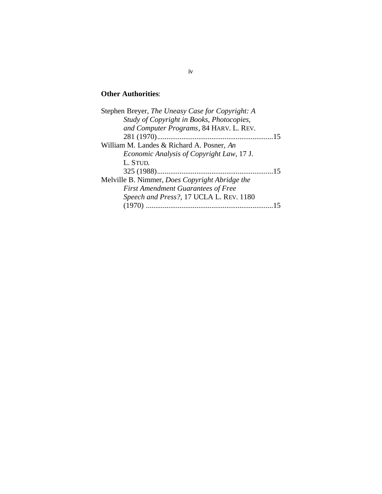# **Other Authorities**:

| Stephen Breyer, The Uneasy Case for Copyright: A      |    |
|-------------------------------------------------------|----|
| Study of Copyright in Books, Photocopies,             |    |
| and Computer Programs, 84 HARV. L. REV.               |    |
|                                                       | 15 |
| William M. Landes & Richard A. Posner, An             |    |
| Economic Analysis of Copyright Law, 17 J.             |    |
| L. STUD.                                              |    |
|                                                       |    |
| Melville B. Nimmer, <i>Does Copyright Abridge the</i> |    |
| <b>First Amendment Guarantees of Free</b>             |    |
| Speech and Press?, 17 UCLA L. REV. 1180               |    |
|                                                       |    |
|                                                       |    |

#### iv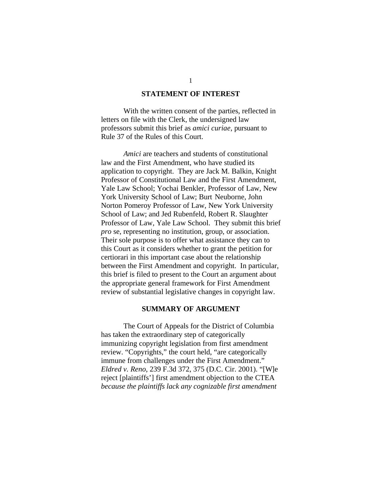#### **STATEMENT OF INTEREST**

With the written consent of the parties, reflected in letters on file with the Clerk, the undersigned law professors submit this brief as *amici curiae*, pursuant to Rule 37 of the Rules of this Court.

*Amici* are teachers and students of constitutional law and the First Amendment, who have studied its application to copyright. They are Jack M. Balkin, Knight Professor of Constitutional Law and the First Amendment, Yale Law School; Yochai Benkler, Professor of Law, New York University School of Law; Burt Neuborne, John Norton Pomeroy Professor of Law, New York University School of Law; and Jed Rubenfeld, Robert R. Slaughter Professor of Law, Yale Law School. They submit this brief *pro* se, representing no institution, group, or association. Their sole purpose is to offer what assistance they can to this Court as it considers whether to grant the petition for certiorari in this important case about the relationship between the First Amendment and copyright. In particular, this brief is filed to present to the Court an argument about the appropriate general framework for First Amendment review of substantial legislative changes in copyright law.

#### **SUMMARY OF ARGUMENT**

The Court of Appeals for the District of Columbia has taken the extraordinary step of categorically immunizing copyright legislation from first amendment review. "Copyrights," the court held, "are categorically immune from challenges under the First Amendment." *Eldred v. Reno*, 239 F.3d 372, 375 (D.C. Cir. 2001). "[W]e reject [plaintiffs'] first amendment objection to the CTEA *because the plaintiffs lack any cognizable first amendment*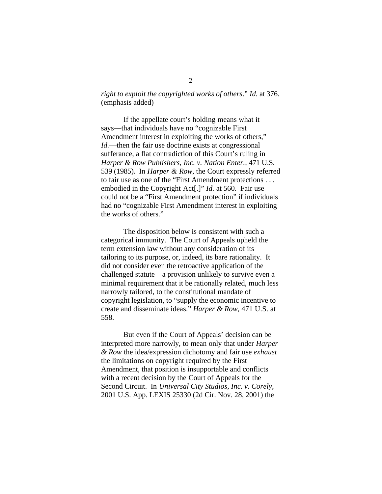### *right to exploit the copyrighted works of others*." *Id.* at 376. (emphasis added)

If the appellate court's holding means what it says—that individuals have no "cognizable First Amendment interest in exploiting the works of others," *Id.*—then the fair use doctrine exists at congressional sufferance, a flat contradiction of this Court's ruling in *Harper & Row Publishers, Inc. v. Nation Enter.,* 471 U.S. 539 (1985). In *Harper & Row*, the Court expressly referred to fair use as one of the "First Amendment protections . . . embodied in the Copyright Act[.]" *Id.* at 560. Fair use could not be a "First Amendment protection" if individuals had no "cognizable First Amendment interest in exploiting the works of others."

The disposition below is consistent with such a categorical immunity. The Court of Appeals upheld the term extension law without any consideration of its tailoring to its purpose, or, indeed, its bare rationality. It did not consider even the retroactive application of the challenged statute—a provision unlikely to survive even a minimal requirement that it be rationally related, much less narrowly tailored, to the constitutional mandate of copyright legislation, to "supply the economic incentive to create and disseminate ideas." *Harper & Row*, 471 U.S. at 558.

But even if the Court of Appeals' decision can be interpreted more narrowly, to mean only that under *Harper & Row* the idea/expression dichotomy and fair use *exhaust* the limitations on copyright required by the First Amendment, that position is insupportable and conflicts with a recent decision by the Court of Appeals for the Second Circuit. In *Universal City Studios, Inc. v. Corely*, 2001 U.S. App. LEXIS 25330 (2d Cir. Nov. 28, 2001) the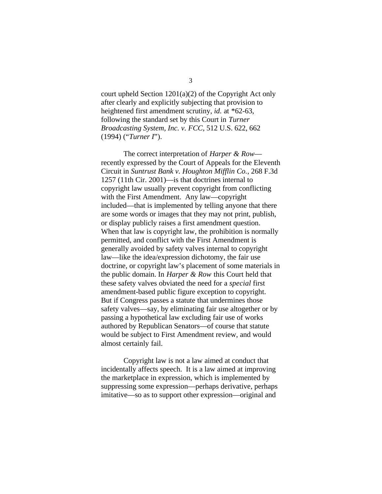court upheld Section 1201(a)(2) of the Copyright Act only after clearly and explicitly subjecting that provision to heightened first amendment scrutiny, *id.* at \*62-63, following the standard set by this Court in *Turner Broadcasting System, Inc. v. FCC*, 512 U.S. 622, 662 (1994) ("*Turner I*").

The correct interpretation of *Harper & Row* recently expressed by the Court of Appeals for the Eleventh Circuit in *Suntrust Bank v. Houghton Mifflin Co.*, 268 F.3d 1257 (11th Cir. 2001)—is that doctrines internal to copyright law usually prevent copyright from conflicting with the First Amendment. Any law—copyright included—that is implemented by telling anyone that there are some words or images that they may not print, publish, or display publicly raises a first amendment question. When that law is copyright law, the prohibition is normally permitted, and conflict with the First Amendment is generally avoided by safety valves internal to copyright law—like the idea/expression dichotomy, the fair use doctrine, or copyright law's placement of some materials in the public domain. In *Harper & Row* this Court held that these safety valves obviated the need for a *special* first amendment-based public figure exception to copyright. But if Congress passes a statute that undermines those safety valves—say, by eliminating fair use altogether or by passing a hypothetical law excluding fair use of works authored by Republican Senators—of course that statute would be subject to First Amendment review, and would almost certainly fail.

Copyright law is not a law aimed at conduct that incidentally affects speech. It is a law aimed at improving the marketplace in expression, which is implemented by suppressing some expression—perhaps derivative, perhaps imitative—so as to support other expression—original and

3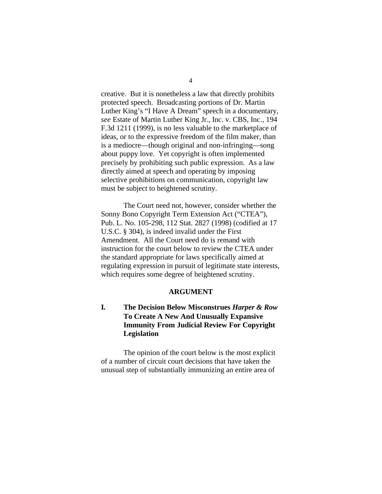creative. But it is nonetheless a law that directly prohibits protected speech. Broadcasting portions of Dr. Martin Luther King's "I Have A Dream" speech in a documentary, *see* Estate of Martin Luther King Jr., Inc. v. CBS, Inc*.*, 194 F.3d 1211 (1999), is no less valuable to the marketplace of ideas, or to the expressive freedom of the film maker, than is a mediocre—though original and non-infringing—song about puppy love. Yet copyright is often implemented precisely by prohibiting such public expression. As a law directly aimed at speech and operating by imposing selective prohibitions on communication, copyright law must be subject to heightened scrutiny.

The Court need not, however, consider whether the Sonny Bono Copyright Term Extension Act ("CTEA"), Pub. L. No. 105-298, 112 Stat. 2827 (1998) (codified at 17 U.S.C. § 304), is indeed invalid under the First Amendment. All the Court need do is remand with instruction for the court below to review the CTEA under the standard appropriate for laws specifically aimed at regulating expression in pursuit of legitimate state interests, which requires some degree of heightened scrutiny.

#### **ARGUMENT**

## **I. The Decision Below Misconstrues** *Harper & Row* **To Create A New And Unusually Expansive Immunity From Judicial Review For Copyright Legislation**

The opinion of the court below is the most explicit of a number of circuit court decisions that have taken the unusual step of substantially immunizing an entire area of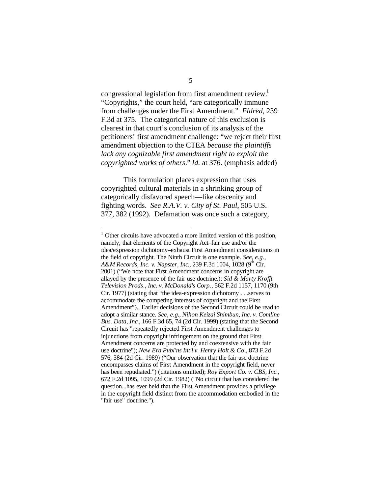congressional legislation from first amendment review.<sup>1</sup> "Copyrights," the court held, "are categorically immune from challenges under the First Amendment." *Eldred*, 239 F.3d at 375. The categorical nature of this exclusion is clearest in that court's conclusion of its analysis of the petitioners' first amendment challenge: "we reject their first amendment objection to the CTEA *because the plaintiffs lack any cognizable first amendment right to exploit the copyrighted works of others*." *Id.* at 376. (emphasis added)

This formulation places expression that uses copyrighted cultural materials in a shrinking group of categorically disfavored speech—like obscenity and fighting words. *See R.A.V. v. City of St. Paul*, 505 U.S. 377, 382 (1992). Defamation was once such a category,

 $\overline{a}$ 

<sup>&</sup>lt;sup>1</sup> Other circuits have advocated a more limited version of this position, namely, that elements of the Copyright Act–fair use and/or the idea/expression dichotomy–exhaust First Amendment considerations in the field of copyright. The Ninth Circuit is one example. *See, e.g.,* A&M Records, Inc. v. Napster, Inc., 239 F.3d 1004, 1028 (9<sup>th</sup> Cir. 2001) ("We note that First Amendment concerns in copyright are allayed by the presence of the fair use doctrine.); *Sid & Marty Krofft Television Prods., Inc. v. McDonald's Corp*., 562 F.2d 1157, 1170 (9th Cir. 1977) (stating that "the idea-expression dichotomy . . .serves to accommodate the competing interests of copyright and the First Amendment"). Earlier decisions of the Second Circuit could be read to adopt a similar stance. *See, e.g.*, *Nihon Keizai Shimbun, Inc. v. Comline Bus. Data, Inc*., 166 F.3d 65, 74 (2d Cir. 1999) (stating that the Second Circuit has "repeatedly rejected First Amendment challenges to injunctions from copyright infringement on the ground that First Amendment concerns are protected by and coextensive with the fair use doctrine"); *New Era Publ'ns Int'l v. Henry Holt & Co*., 873 F.2d 576, 584 (2d Cir. 1989) ("Our observation that the fair use doctrine encompasses claims of First Amendment in the copyright field, never has been repudiated.") (citations omitted); *Roy Export Co. v. CBS, Inc*., 672 F.2d 1095, 1099 (2d Cir. 1982) ("No circuit that has considered the question...has ever held that the First Amendment provides a privilege in the copyright field distinct from the accommodation embodied in the "fair use" doctrine.").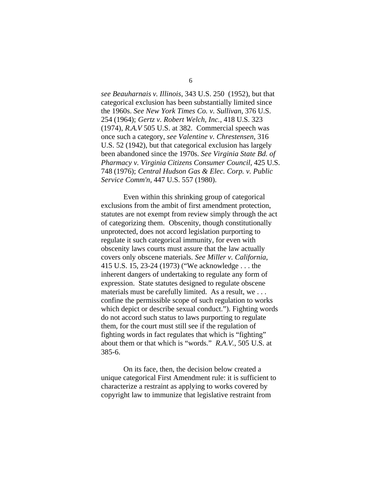*see Beauharnais v. Illinois*, 343 U.S. 250 (1952), but that categorical exclusion has been substantially limited since the 1960s. *See New York Times Co. v. Sullivan*, 376 U.S. 254 (1964); *Gertz v. Robert Welch, Inc.*, 418 U.S. 323 (1974), *R.A.V* 505 U.S. at 382. Commercial speech was once such a category, *see Valentine v. Chrestensen*, 316 U.S. 52 (1942), but that categorical exclusion has largely been abandoned since the 1970s. *See Virginia State Bd. of Pharmacy v. Virginia Citizens Consumer Council*, 425 U.S. 748 (1976); *Central Hudson Gas & Elec. Corp. v. Public Service Comm'n,* 447 U.S. 557 (1980).

Even within this shrinking group of categorical exclusions from the ambit of first amendment protection, statutes are not exempt from review simply through the act of categorizing them. Obscenity, though constitutionally unprotected, does not accord legislation purporting to regulate it such categorical immunity, for even with obscenity laws courts must assure that the law actually covers only obscene materials. *See Miller v. California*, 415 U.S. 15, 23-24 (1973) ("We acknowledge . . . the inherent dangers of undertaking to regulate any form of expression. State statutes designed to regulate obscene materials must be carefully limited. As a result, we . . . confine the permissible scope of such regulation to works which depict or describe sexual conduct."). Fighting words do not accord such status to laws purporting to regulate them, for the court must still see if the regulation of fighting words in fact regulates that which is "fighting" about them or that which is "words." *R.A.V.*, 505 U.S. at 385-6.

On its face, then, the decision below created a unique categorical First Amendment rule: it is sufficient to characterize a restraint as applying to works covered by copyright law to immunize that legislative restraint from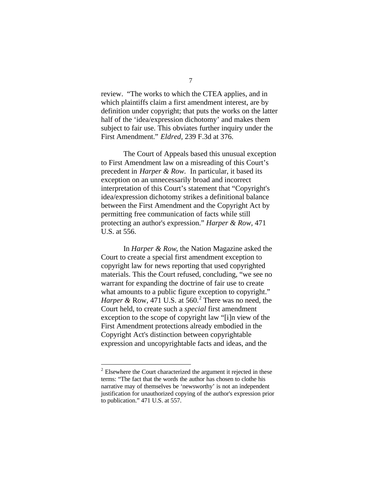review. "The works to which the CTEA applies, and in which plaintiffs claim a first amendment interest, are by definition under copyright; that puts the works on the latter half of the 'idea/expression dichotomy' and makes them subject to fair use. This obviates further inquiry under the First Amendment." *Eldred,* 239 F.3d at 376.

The Court of Appeals based this unusual exception to First Amendment law on a misreading of this Court's precedent in *Harper & Row*.In particular, it based its exception on an unnecessarily broad and incorrect interpretation of this Court's statement that "Copyright's idea/expression dichotomy strikes a definitional balance between the First Amendment and the Copyright Act by permitting free communication of facts while still protecting an author's expression." *Harper & Row,* 471 U.S. at 556.

In *Harper & Row*, the Nation Magazine asked the Court to create a special first amendment exception to copyright law for news reporting that used copyrighted materials. This the Court refused, concluding, "we see no warrant for expanding the doctrine of fair use to create what amounts to a public figure exception to copyright." Harper & Row,  $471$  U.S. at  $560$ .<sup>2</sup> There was no need, the Court held, to create such a *special* first amendment exception to the scope of copyright law "[i]n view of the First Amendment protections already embodied in the Copyright Act's distinction between copyrightable expression and uncopyrightable facts and ideas, and the

 $\overline{a}$ 

 $2$  Elsewhere the Court characterized the argument it rejected in these terms: "The fact that the words the author has chosen to clothe his narrative may of themselves be 'newsworthy' is not an independent justification for unauthorized copying of the author's expression prior to publication." 471 U.S. at 557.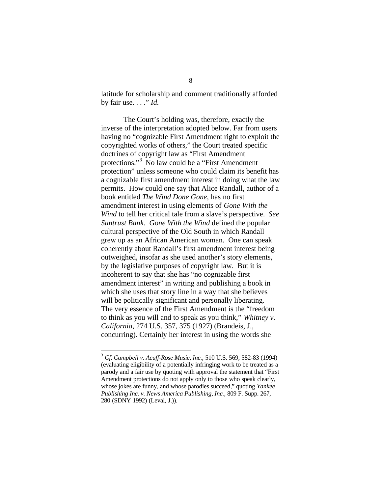latitude for scholarship and comment traditionally afforded by fair use. . . ." *Id.*

The Court's holding was, therefore, exactly the inverse of the interpretation adopted below. Far from users having no "cognizable First Amendment right to exploit the copyrighted works of others," the Court treated specific doctrines of copyright law as "First Amendment protections."<sup>3</sup> No law could be a "First Amendment protection" unless someone who could claim its benefit has a cognizable first amendment interest in doing what the law permits. How could one say that Alice Randall, author of a book entitled *The Wind Done Gone*, has no first amendment interest in using elements of *Gone With the Wind* to tell her critical tale from a slave's perspective. *See Suntrust Bank*. *Gone With the Wind* defined the popular cultural perspective of the Old South in which Randall grew up as an African American woman. One can speak coherently about Randall's first amendment interest being outweighed, insofar as she used another's story elements, by the legislative purposes of copyright law. But it is incoherent to say that she has "no cognizable first amendment interest" in writing and publishing a book in which she uses that story line in a way that she believes will be politically significant and personally liberating. The very essence of the First Amendment is the "freedom to think as you will and to speak as you think," *Whitney v. California*, 274 U.S. 357, 375 (1927) (Brandeis, J., concurring). Certainly her interest in using the words she

<u>.</u>

<sup>3</sup> *Cf. Campbell v. Acuff-Rose Music, Inc.*, 510 U.S. 569, 582-83 (1994) (evaluating eligibility of a potentially infringing work to be treated as a parody and a fair use by quoting with approval the statement that "First Amendment protections do not apply only to those who speak clearly, whose jokes are funny, and whose parodies succeed," quoting *Yankee Publishing Inc. v. News America Publishing, Inc.*, 809 F. Supp. 267, 280 (SDNY 1992) (Leval, J.)).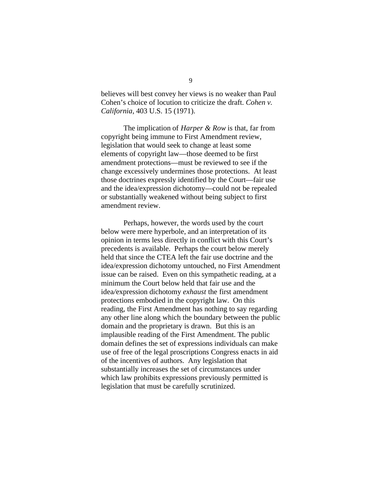believes will best convey her views is no weaker than Paul Cohen's choice of locution to criticize the draft. *Cohen v. California*, 403 U.S. 15 (1971).

The implication of *Harper & Row* is that, far from copyright being immune to First Amendment review, legislation that would seek to change at least some elements of copyright law—those deemed to be first amendment protections—must be reviewed to see if the change excessively undermines those protections. At least those doctrines expressly identified by the Court—fair use and the idea/expression dichotomy—could not be repealed or substantially weakened without being subject to first amendment review.

Perhaps, however, the words used by the court below were mere hyperbole, and an interpretation of its opinion in terms less directly in conflict with this Court's precedents is available. Perhaps the court below merely held that since the CTEA left the fair use doctrine and the idea/expression dichotomy untouched, no First Amendment issue can be raised. Even on this sympathetic reading, at a minimum the Court below held that fair use and the idea*/*expression dichotomy *exhaust* the first amendment protections embodied in the copyright law. On this reading, the First Amendment has nothing to say regarding any other line along which the boundary between the public domain and the proprietary is drawn. But this is an implausible reading of the First Amendment. The public domain defines the set of expressions individuals can make use of free of the legal proscriptions Congress enacts in aid of the incentives of authors. Any legislation that substantially increases the set of circumstances under which law prohibits expressions previously permitted is legislation that must be carefully scrutinized.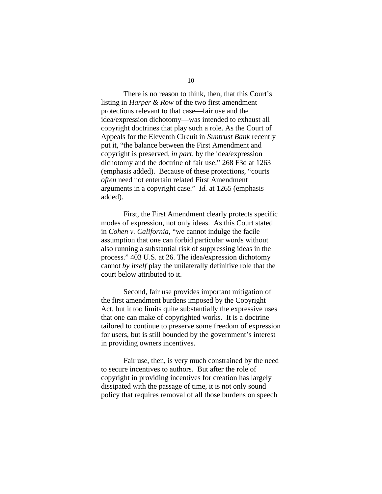There is no reason to think, then, that this Court's listing in *Harper & Row* of the two first amendment protections relevant to that case—fair use and the idea/expression dichotomy—was intended to exhaust all copyright doctrines that play such a role. As the Court of Appeals for the Eleventh Circuit in *Suntrust Bank* recently put it, "the balance between the First Amendment and copyright is preserved, *in part,* by the idea/expression dichotomy and the doctrine of fair use." 268 F3d at 1263 (emphasis added). Because of these protections, "courts *often* need not entertain related First Amendment arguments in a copyright case." *Id.* at 1265 (emphasis added).

First, the First Amendment clearly protects specific modes of expression, not only ideas. As this Court stated in *Cohen v. California,* "we cannot indulge the facile assumption that one can forbid particular words without also running a substantial risk of suppressing ideas in the process." 403 U.S. at 26. The idea/expression dichotomy cannot *by itself* play the unilaterally definitive role that the court below attributed to it.

Second, fair use provides important mitigation of the first amendment burdens imposed by the Copyright Act, but it too limits quite substantially the expressive uses that one can make of copyrighted works. It is a doctrine tailored to continue to preserve some freedom of expression for users, but is still bounded by the government's interest in providing owners incentives.

Fair use, then, is very much constrained by the need to secure incentives to authors. But after the role of copyright in providing incentives for creation has largely dissipated with the passage of time, it is not only sound policy that requires removal of all those burdens on speech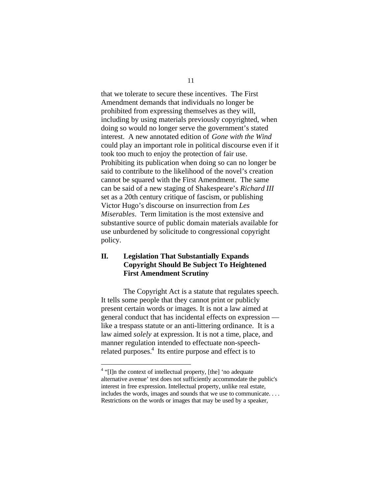that we tolerate to secure these incentives. The First Amendment demands that individuals no longer be prohibited from expressing themselves as they will, including by using materials previously copyrighted, when doing so would no longer serve the government's stated interest. A new annotated edition of *Gone with the Wind* could play an important role in political discourse even if it took too much to enjoy the protection of fair use. Prohibiting its publication when doing so can no longer be said to contribute to the likelihood of the novel's creation cannot be squared with the First Amendment. The same can be said of a new staging of Shakespeare's *Richard III* set as a 20th century critique of fascism, or publishing Victor Hugo's discourse on insurrection from *Les Miserables*. Term limitation is the most extensive and substantive source of public domain materials available for use unburdened by solicitude to congressional copyright policy.

### **II. Legislation That Substantially Expands Copyright Should Be Subject To Heightened First Amendment Scrutiny**

The Copyright Act is a statute that regulates speech. It tells some people that they cannot print or publicly present certain words or images. It is not a law aimed at general conduct that has incidental effects on expression like a trespass statute or an anti-littering ordinance. It is a law aimed *solely* at expression. It is not a time, place, and manner regulation intended to effectuate non-speechrelated purposes.<sup>4</sup> Its entire purpose and effect is to

 $\overline{a}$ 

11

<sup>&</sup>lt;sup>4</sup> "[I]n the context of intellectual property, [the] 'no adequate alternative avenue' test does not sufficiently accommodate the public's interest in free expression. Intellectual property, unlike real estate, includes the words, images and sounds that we use to communicate. . . . Restrictions on the words or images that may be used by a speaker,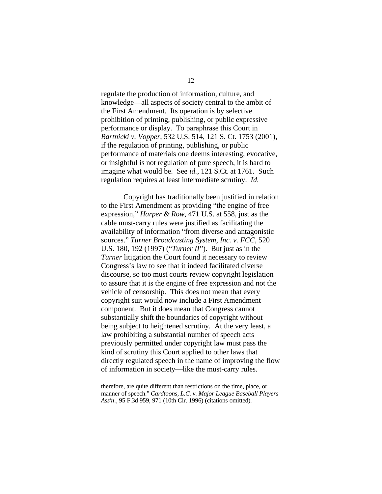regulate the production of information, culture, and knowledge—all aspects of society central to the ambit of the First Amendment. Its operation is by selective prohibition of printing, publishing, or public expressive performance or display. To paraphrase this Court in *Bartnicki v. Vopper*, 532 U.S. 514, 121 S. Ct. 1753 (2001), if the regulation of printing, publishing, or public performance of materials one deems interesting, evocative, or insightful is not regulation of pure speech, it is hard to imagine what would be. See *id.*, 121 S.Ct. at 1761. Such regulation requires at least intermediate scrutiny. *Id.*

Copyright has traditionally been justified in relation to the First Amendment as providing "the engine of free expression," *Harper & Row*, 471 U.S. at 558, just as the cable must-carry rules were justified as facilitating the availability of information "from diverse and antagonistic sources." *Turner Broadcasting System, Inc. v. FCC*, 520 U.S. 180, 192 (1997) ("*Turner II*"). But just as in the *Turner* litigation the Court found it necessary to review Congress's law to see that it indeed facilitated diverse discourse, so too must courts review copyright legislation to assure that it is the engine of free expression and not the vehicle of censorship. This does not mean that every copyright suit would now include a First Amendment component. But it does mean that Congress cannot substantially shift the boundaries of copyright without being subject to heightened scrutiny. At the very least, a law prohibiting a substantial number of speech acts previously permitted under copyright law must pass the kind of scrutiny this Court applied to other laws that directly regulated speech in the name of improving the flow of information in society—like the must-carry rules.

therefore, are quite different than restrictions on the time, place, or manner of speech." *Cardtoons, L.C. v. Major League Baseball Players Ass'n.,* 95 F.3d 959, 971 (10th Cir. 1996) (citations omitted).

<u>.</u>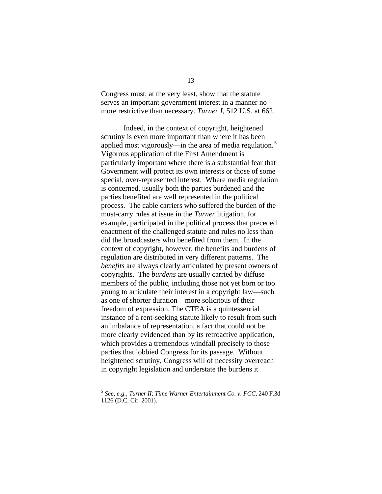Congress must, at the very least, show that the statute serves an important government interest in a manner no more restrictive than necessary. *Turner I,* 512 U.S. at 662.

Indeed, in the context of copyright, heightened scrutiny is even more important than where it has been applied most vigorously—in the area of media regulation.<sup>5</sup> Vigorous application of the First Amendment is particularly important where there is a substantial fear that Government will protect its own interests or those of some special, over-represented interest. Where media regulation is concerned, usually both the parties burdened and the parties benefited are well represented in the political process. The cable carriers who suffered the burden of the must-carry rules at issue in the *Turner* litigation, for example, participated in the political process that preceded enactment of the challenged statute and rules no less than did the broadcasters who benefited from them. In the context of copyright, however, the benefits and burdens of regulation are distributed in very different patterns. The *benefits* are always clearly articulated by present owners of copyrights. The *burdens* are usually carried by diffuse members of the public, including those not yet born or too young to articulate their interest in a copyright law—such as one of shorter duration—more solicitous of their freedom of expression. The CTEA is a quintessential instance of a rent-seeking statute likely to result from such an imbalance of representation, a fact that could not be more clearly evidenced than by its retroactive application, which provides a tremendous windfall precisely to those parties that lobbied Congress for its passage. Without heightened scrutiny, Congress will of necessity overreach in copyright legislation and understate the burdens it

 $\overline{a}$ 

<sup>5</sup> *See, e.g., Turner II*; *Time Warner Entertainment Co. v. FCC*, 240 F.3d 1126 (D.C. Cir. 2001).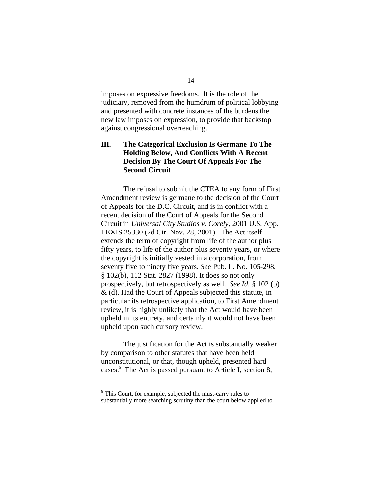imposes on expressive freedoms. It is the role of the judiciary, removed from the humdrum of political lobbying and presented with concrete instances of the burdens the new law imposes on expression, to provide that backstop against congressional overreaching.

## **III. The Categorical Exclusion Is Germane To The Holding Below, And Conflicts With A Recent Decision By The Court Of Appeals For The Second Circuit**

The refusal to submit the CTEA to any form of First Amendment review is germane to the decision of the Court of Appeals for the D.C. Circuit, and is in conflict with a recent decision of the Court of Appeals for the Second Circuit in *Universal City Studios v. Corely*, 2001 U.S. App. LEXIS 25330 (2d Cir. Nov. 28, 2001). The Act itself extends the term of copyright from life of the author plus fifty years, to life of the author plus seventy years, or where the copyright is initially vested in a corporation, from seventy five to ninety five years. *See* Pub. L. No. 105-298, § 102(b), 112 Stat. 2827 (1998). It does so not only prospectively, but retrospectively as well. *See Id.* § 102 (b) & (d). Had the Court of Appeals subjected this statute, in particular its retrospective application, to First Amendment review, it is highly unlikely that the Act would have been upheld in its entirety, and certainly it would not have been upheld upon such cursory review.

The justification for the Act is substantially weaker by comparison to other statutes that have been held unconstitutional, or that, though upheld, presented hard cases.<sup>6</sup> The Act is passed pursuant to Article I, section 8,

<u>.</u>

<sup>&</sup>lt;sup>6</sup> This Court, for example, subjected the must-carry rules to substantially more searching scrutiny than the court below applied to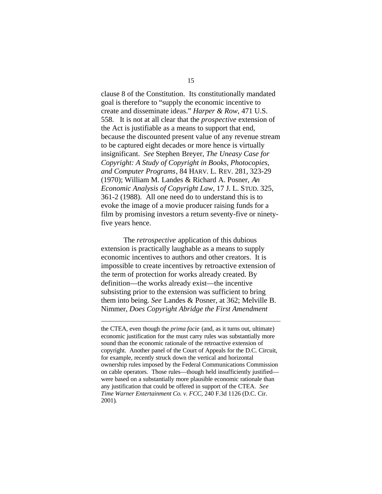clause 8 of the Constitution. Its constitutionally mandated goal is therefore to "supply the economic incentive to create and disseminate ideas." *Harper & Row*, 471 U.S. 558. It is not at all clear that the *prospective* extension of the Act is justifiable as a means to support that end, because the discounted present value of any revenue stream to be captured eight decades or more hence is virtually insignificant. *See* Stephen Breyer, *The Uneasy Case for Copyright: A Study of Copyright in Books, Photocopies, and Computer Programs*, 84 HARV. L. REV. 281, 323-29 (1970); William M. Landes & Richard A. Posner, *An Economic Analysis of Copyright Law*, 17 J. L. STUD. 325, 361-2 (1988). All one need do to understand this is to evoke the image of a movie producer raising funds for a film by promising investors a return seventy-five or ninetyfive years hence.

The *retrospective* application of this dubious extension is practically laughable as a means to supply economic incentives to authors and other creators. It is impossible to create incentives by retroactive extension of the term of protection for works already created. By definition—the works already exist—the incentive subsisting prior to the extension was sufficient to bring them into being. *See* Landes & Posner, at 362; Melville B. Nimmer, *Does Copyright Abridge the First Amendment*

<u>.</u>

the CTEA, even though the *prima facie* (and, as it turns out, ultimate) economic justification for the must carry rules was substantially more sound than the economic rationale of the retroactive extension of copyright. Another panel of the Court of Appeals for the D.C. Circuit, for example, recently struck down the vertical and horizontal ownership rules imposed by the Federal Communications Commission on cable operators. Those rules—though held insufficiently justified were based on a substantially more plausible economic rationale than any justification that could be offered in support of the CTEA. *See Time Warner Entertainment Co. v. FCC*, 240 F.3d 1126 (D.C. Cir. 2001).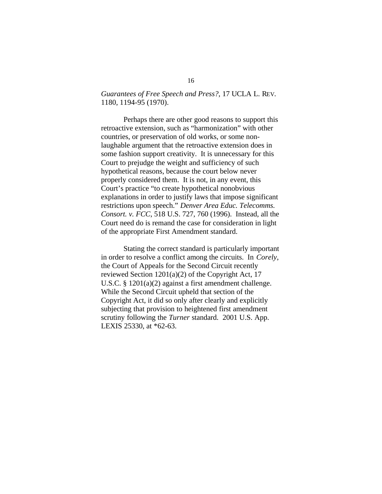### *Guarantees of Free Speech and Press?*, 17 UCLA L. REV. 1180, 1194-95 (1970).

Perhaps there are other good reasons to support this retroactive extension, such as "harmonization" with other countries, or preservation of old works, or some nonlaughable argument that the retroactive extension does in some fashion support creativity. It is unnecessary for this Court to prejudge the weight and sufficiency of such hypothetical reasons, because the court below never properly considered them. It is not, in any event, this Court's practice "to create hypothetical nonobvious explanations in order to justify laws that impose significant restrictions upon speech." *Denver Area Educ. Telecomms. Consort. v. FCC*, 518 U.S. 727, 760 (1996). Instead, all the Court need do is remand the case for consideration in light of the appropriate First Amendment standard.

Stating the correct standard is particularly important in order to resolve a conflict among the circuits. In *Corely*, the Court of Appeals for the Second Circuit recently reviewed Section 1201(a)(2) of the Copyright Act, 17 U.S.C. § 1201(a)(2) against a first amendment challenge. While the Second Circuit upheld that section of the Copyright Act, it did so only after clearly and explicitly subjecting that provision to heightened first amendment scrutiny following the *Turner* standard. 2001 U.S. App. LEXIS 25330, at \*62-63.